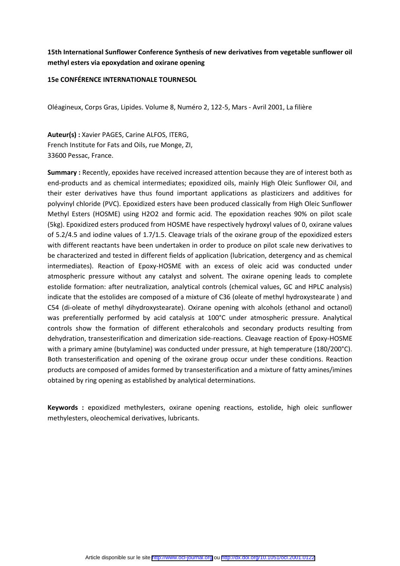# **15th International Sunflower Conference Synthesis of new derivatives from vegetable sunflower oil methyl esters via epoxydation and oxirane opening**

#### **15e CONFÉRENCE INTERNATIONALE TOURNESOL**

Oléagineux, Corps Gras, Lipides. Volume 8, Numéro 2, 122-5, Mars - Avril 2001, La filière

**Auteur(s) :** Xavier PAGES, Carine ALFOS, ITERG, French Institute for Fats and Oils, rue Monge, ZI, 33600 Pessac, France.

**Summary :** Recently, epoxides have received increased attention because they are of interest both as end-products and as chemical intermediates; epoxidized oils, mainly High Oleic Sunflower Oil, and their ester derivatives have thus found important applications as plasticizers and additives for polyvinyl chloride (PVC). Epoxidized esters have been produced classically from High Oleic Sunflower Methyl Esters (HOSME) using H2O2 and formic acid. The epoxidation reaches 90% on pilot scale (5kg). Epoxidized esters produced from HOSME have respectively hydroxyl values of 0, oxirane values of 5.2/4.5 and iodine values of 1.7/1.5. Cleavage trials of the oxirane group of the epoxidized esters with different reactants have been undertaken in order to produce on pilot scale new derivatives to be characterized and tested in different fields of application (lubrication, detergency and as chemical intermediates). Reaction of Epoxy-HOSME with an excess of oleic acid was conducted under atmospheric pressure without any catalyst and solvent. The oxirane opening leads to complete estolide formation: after neutralization, analytical controls (chemical values, GC and HPLC analysis) indicate that the estolides are composed of a mixture of C36 (oleate of methyl hydroxystearate ) and C54 (di-oleate of methyl dihydroxystearate). Oxirane opening with alcohols (ethanol and octanol) was preferentially performed by acid catalysis at 100°C under atmospheric pressure. Analytical controls show the formation of different etheralcohols and secondary products resulting from dehydration, transesterification and dimerization side-reactions. Cleavage reaction of Epoxy-HOSME with a primary amine (butylamine) was conducted under pressure, at high temperature (180/200°C). Both transesterification and opening of the oxirane group occur under these conditions. Reaction products are composed of amides formed by transesterification and a mixture of fatty amines/imines obtained by ring opening as established by analytical determinations.

**Keywords :** epoxidized methylesters, oxirane opening reactions, estolide, high oleic sunflower methylesters, oleochemical derivatives, lubricants.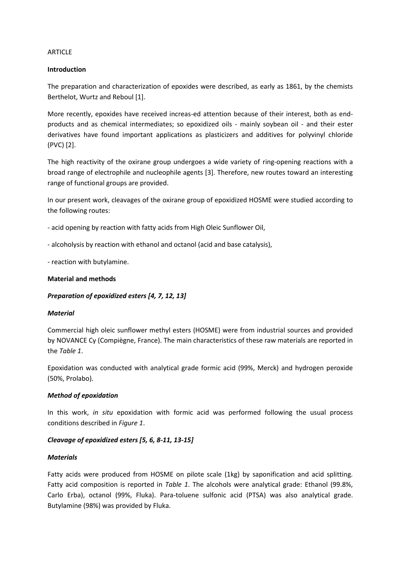### **ARTICLF**

## **Introduction**

The preparation and characterization of epoxides were described, as early as 1861, by the chemists Berthelot, Wurtz and Reboul [1].

More recently, epoxides have received increas-ed attention because of their interest, both as endproducts and as chemical intermediates; so epoxidized oils - mainly soybean oil - and their ester derivatives have found important applications as plasticizers and additives for polyvinyl chloride (PVC) [2].

The high reactivity of the oxirane group undergoes a wide variety of ring-opening reactions with a broad range of electrophile and nucleophile agents [3]. Therefore, new routes toward an interesting range of functional groups are provided.

In our present work, cleavages of the oxirane group of epoxidized HOSME were studied according to the following routes:

- acid opening by reaction with fatty acids from High Oleic Sunflower Oil,

- alcoholysis by reaction with ethanol and octanol (acid and base catalysis),

- reaction with butylamine.

### **Material and methods**

# *Preparation of epoxidized esters [4, 7, 12, 13]*

### *Material*

Commercial high oleic sunflower methyl esters (HOSME) were from industrial sources and provided by NOVANCE Cy (Compiègne, France). The main characteristics of these raw materials are reported in the *Table 1*.

Epoxidation was conducted with analytical grade formic acid (99%, Merck) and hydrogen peroxide (50%, Prolabo).

### *Method of epoxidation*

In this work, *in situ* epoxidation with formic acid was performed following the usual process conditions described in *Figure 1*.

# *Cleavage of epoxidized esters [5, 6, 8-11, 13-15]*

### *Materials*

Fatty acids were produced from HOSME on pilote scale (1kg) by saponification and acid splitting. Fatty acid composition is reported in *Table 1*. The alcohols were analytical grade: Ethanol (99.8%, Carlo Erba), octanol (99%, Fluka). Para-toluene sulfonic acid (PTSA) was also analytical grade. Butylamine (98%) was provided by Fluka.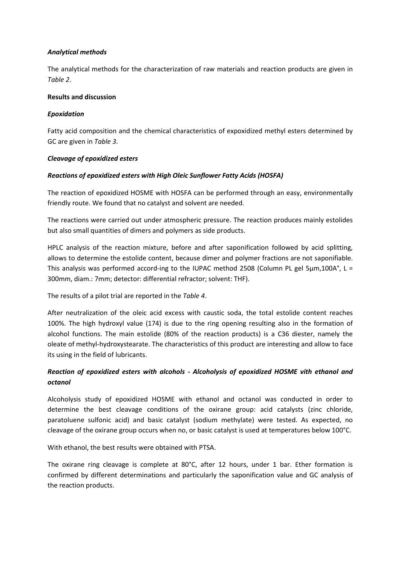# *Analytical methods*

The analytical methods for the characterization of raw materials and reaction products are given in *Table 2*.

### **Results and discussion**

## *Epoxidation*

Fatty acid composition and the chemical characteristics of expoxidized methyl esters determined by GC are given in *Table 3*.

## *Cleavage of epoxidized esters*

## *Reactions of epoxidized esters with High Oleic Sunflower Fatty Acids (HOSFA)*

The reaction of epoxidized HOSME with HOSFA can be performed through an easy, environmentally friendly route. We found that no catalyst and solvent are needed.

The reactions were carried out under atmospheric pressure. The reaction produces mainly estolides but also small quantities of dimers and polymers as side products.

HPLC analysis of the reaction mixture, before and after saponification followed by acid splitting, allows to determine the estolide content, because dimer and polymer fractions are not saponifiable. This analysis was performed accord-ing to the IUPAC method 2508 (Column PL gel 5µm,100A°, L = 300mm, diam.: 7mm; detector: differential refractor; solvent: THF).

The results of a pilot trial are reported in the *Table 4*.

After neutralization of the oleic acid excess with caustic soda, the total estolide content reaches 100%. The high hydroxyl value (174) is due to the ring opening resulting also in the formation of alcohol functions. The main estolide (80% of the reaction products) is a C36 diester, namely the oleate of methyl-hydroxystearate. The characteristics of this product are interesting and allow to face its using in the field of lubricants.

# *Reaction of epoxidized esters with alcohols - Alcoholysis of epoxidized HOSME vith ethanol and octanol*

Alcoholysis study of epoxidized HOSME with ethanol and octanol was conducted in order to determine the best cleavage conditions of the oxirane group: acid catalysts (zinc chloride, paratoluene sulfonic acid) and basic catalyst (sodium methylate) were tested. As expected, no cleavage of the oxirane group occurs when no, or basic catalyst is used at temperatures below 100°C.

With ethanol, the best results were obtained with PTSA.

The oxirane ring cleavage is complete at 80°C, after 12 hours, under 1 bar. Ether formation is confirmed by different determinations and particularly the saponification value and GC analysis of the reaction products.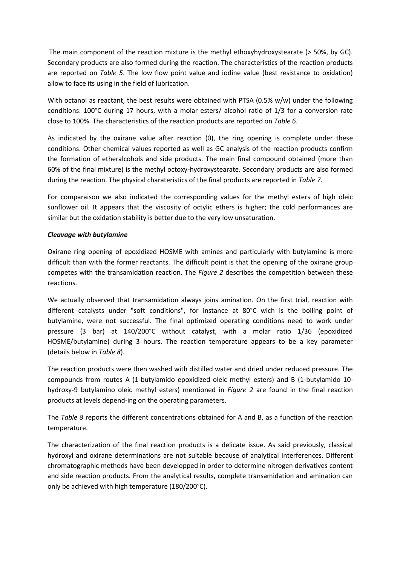The main component of the reaction mixture is the methyl ethoxyhydroxystearate (> 50%, by GC). Secondary products are also formed during the reaction. The characteristics of the reaction products are reported on *Table 5*. The low flow point value and iodine value (best resistance to oxidation) allow to face its using in the field of lubrication.

With octanol as reactant, the best results were obtained with PTSA (0.5% w/w) under the following conditions: 100°C during 17 hours, with a molar esters/ alcohol ratio of 1/3 for a conversion rate close to 100%. The characteristics of the reaction products are reported on *Table 6*.

As indicated by the oxirane value after reaction (0), the ring opening is complete under these conditions. Other chemical values reported as well as GC analysis of the reaction products confirm the formation of etheralcohols and side products. The main final compound obtained (more than 60% of the final mixture) is the methyl octoxy-hydroxystearate. Secondary products are also formed during the reaction. The physical charateristics of the final products are reported in *Table 7*.

For comparaison we also indicated the corresponding values for the methyl esters of high oleic sunflower oil. It appears that the viscosity of octylic ethers is higher; the cold performances are similar but the oxidation stability is better due to the very low unsaturation.

# *Cleavage with butylamine*

Oxirane ring opening of epoxidized HOSME with amines and particularly with butylamine is more difficult than with the former reactants. The difficult point is that the opening of the oxirane group competes with the transamidation reaction. The *Figure 2* describes the competition between these reactions.

We actually observed that transamidation always joins amination. On the first trial, reaction with different catalysts under "soft conditions", for instance at 80°C wich is the boiling point of butylamine, were not successful. The final optimized operating conditions need to work under pressure (3 bar) at 140/200°C without catalyst, with a molar ratio 1/36 (epoxidized HOSME/butylamine) during 3 hours. The reaction temperature appears to be a key parameter (details below in *Table 8*).

The reaction products were then washed with distilled water and dried under reduced pressure. The compounds from routes A (1-butylamido epoxidized oleic methyl esters) and B (1-butylamido 10 hydroxy-9 butylamino oleic methyl esters) mentioned in *Figure 2* are found in the final reaction products at levels depend-ing on the operating parameters.

The *Table 8* reports the different concentrations obtained for A and B, as a function of the reaction temperature.

The characterization of the final reaction products is a delicate issue. As said previously, classical hydroxyl and oxirane determinations are not suitable because of analytical interferences. Different chromatographic methods have been developped in order to determine nitrogen derivatives content and side reaction products. From the analytical results, complete transamidation and amination can only be achieved with high temperature (180/200°C).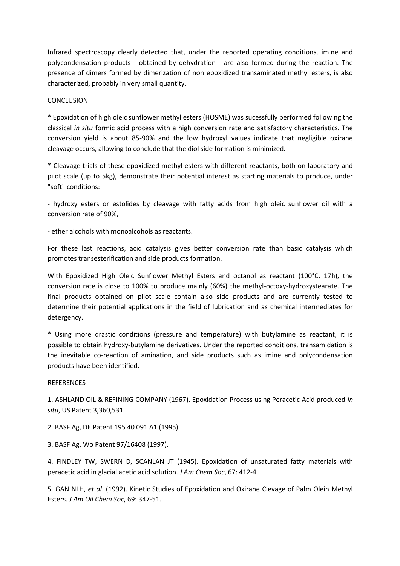Infrared spectroscopy clearly detected that, under the reported operating conditions, imine and polycondensation products - obtained by dehydration - are also formed during the reaction. The presence of dimers formed by dimerization of non epoxidized transaminated methyl esters, is also characterized, probably in very small quantity.

### **CONCLUSION**

\* Epoxidation of high oleic sunflower methyl esters (HOSME) was sucessfully performed following the classical *in situ* formic acid process with a high conversion rate and satisfactory characteristics. The conversion yield is about 85-90% and the low hydroxyl values indicate that negligible oxirane cleavage occurs, allowing to conclude that the diol side formation is minimized.

\* Cleavage trials of these epoxidized methyl esters with different reactants, both on laboratory and pilot scale (up to 5kg), demonstrate their potential interest as starting materials to produce, under "soft" conditions:

- hydroxy esters or estolides by cleavage with fatty acids from high oleic sunflower oil with a conversion rate of 90%,

- ether alcohols with monoalcohols as reactants.

For these last reactions, acid catalysis gives better conversion rate than basic catalysis which promotes transesterification and side products formation.

With Epoxidized High Oleic Sunflower Methyl Esters and octanol as reactant (100°C, 17h), the conversion rate is close to 100% to produce mainly (60%) the methyl-octoxy-hydroxystearate. The final products obtained on pilot scale contain also side products and are currently tested to determine their potential applications in the field of lubrication and as chemical intermediates for detergency.

\* Using more drastic conditions (pressure and temperature) with butylamine as reactant, it is possible to obtain hydroxy-butylamine derivatives. Under the reported conditions, transamidation is the inevitable co-reaction of amination, and side products such as imine and polycondensation products have been identified.

### **REFERENCES**

1. ASHLAND OIL & REFINING COMPANY (1967). Epoxidation Process using Peracetic Acid produced *in situ*, US Patent 3,360,531.

2. BASF Ag, DE Patent 195 40 091 A1 (1995).

3. BASF Ag, Wo Patent 97/16408 (1997).

4. FINDLEY TW, SWERN D, SCANLAN JT (1945). Epoxidation of unsaturated fatty materials with peracetic acid in glacial acetic acid solution. *J Am Chem Soc*, 67: 412-4.

5. GAN NLH, *et al*. (1992). Kinetic Studies of Epoxidation and Oxirane Clevage of Palm Olein Methyl Esters. *J Am Oil Chem Soc*, 69: 347-51.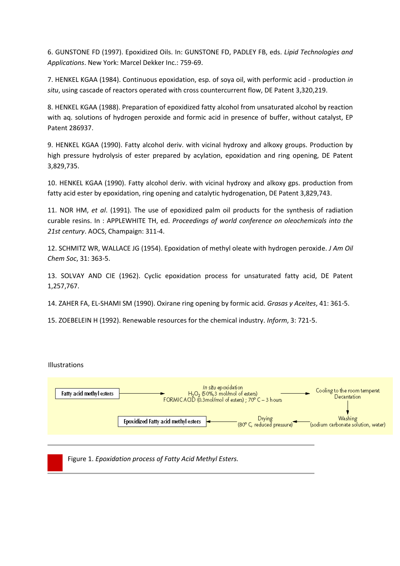6. GUNSTONE FD (1997). Epoxidized Oils. In: GUNSTONE FD, PADLEY FB, eds. *Lipid Technologies and Applications*. New York: Marcel Dekker Inc.: 759-69.

7. HENKEL KGAA (1984). Continuous epoxidation, esp. of soya oil, with performic acid - production *in situ*, using cascade of reactors operated with cross countercurrent flow, DE Patent 3,320,219.

8. HENKEL KGAA (1988). Preparation of epoxidized fatty alcohol from unsaturated alcohol by reaction with aq. solutions of hydrogen peroxide and formic acid in presence of buffer, without catalyst, EP Patent 286937.

9. HENKEL KGAA (1990). Fatty alcohol deriv. with vicinal hydroxy and alkoxy groups. Production by high pressure hydrolysis of ester prepared by acylation, epoxidation and ring opening, DE Patent 3,829,735.

10. HENKEL KGAA (1990). Fatty alcohol deriv. with vicinal hydroxy and alkoxy gps. production from fatty acid ester by epoxidation, ring opening and catalytic hydrogenation, DE Patent 3,829,743.

11. NOR HM, *et al*. (1991). The use of epoxidized palm oil products for the synthesis of radiation curable resins. In : APPLEWHITE TH, ed. *Proceedings of world conference on oleochemicals into the 21st century*. AOCS, Champaign: 311-4.

12. SCHMITZ WR, WALLACE JG (1954). Epoxidation of methyl oleate with hydrogen peroxide. *J Am Oil Chem Soc*, 31: 363-5.

13. SOLVAY AND CIE (1962). Cyclic epoxidation process for unsaturated fatty acid, DE Patent 1,257,767.

14. ZAHER FA, EL-SHAMI SM (1990). Oxirane ring opening by formic acid. *Grasas y Aceites*, 41: 361-5.

15. ZOEBELEIN H (1992). Renewable resources for the chemical industry. *Inform*, 3: 721-5.



Figure 1. *Epoxidation process of Fatty Acid Methyl Esters.*

Illustrations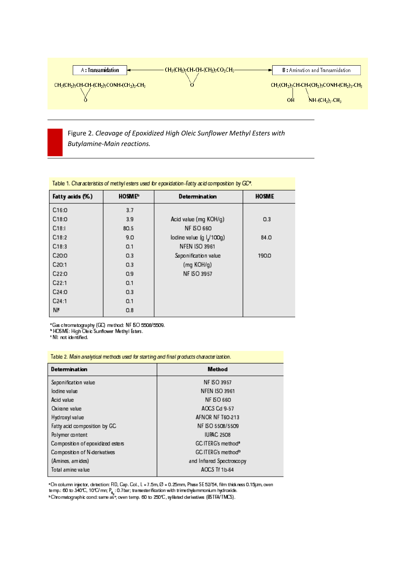

Figure 2. Cleavage of Epoxidized High Oleic Sunflower Methyl Esters with **Butylamine-Main reactions.** 

| Fatty acids (%)    | <b>HOSME</b> | Determination            | <b>HOSME</b> |
|--------------------|--------------|--------------------------|--------------|
| C16:0              | 3.7          |                          |              |
| C18:0              | 3.9          | Acid value (mg KOH/g)    | 0.3          |
| C18:1              | 80.5         | <b>NF ISO 660</b>        |              |
| C18:2              | 9.0          | lodine value (g l./100g) | 84.0         |
| C18:3              | 0.1          | <b>NFEN ISO 3961</b>     |              |
| C <sub>20</sub> :0 | 0.3          | Saponification value     | 190.0        |
| C2O:1              | 0.3          | (mg KOH/g)               |              |
| C <sub>22</sub> :0 | 0.9          | <b>NF ISO 3957</b>       |              |
| C22:1              | 0.1          |                          |              |
| C24:0              | O.3          |                          |              |
| C24:1              | 0.1          |                          |              |
| ΝF                 | O.8          |                          |              |

"Gas chromatography (GC) method: NF 60 5508/5509.<br>"HOSME: High Oleic Sunflower Methyl Esters.<br>"N!: not identified.

| Table 2. Main analytical methods used for starting and final products characterization. |  |  |  |  |
|-----------------------------------------------------------------------------------------|--|--|--|--|
| Method                                                                                  |  |  |  |  |
| <b>NF ISO 3957</b>                                                                      |  |  |  |  |
| <b>NFEN ISO 3961</b>                                                                    |  |  |  |  |
| <b>NF ISO 660</b>                                                                       |  |  |  |  |
| ACCS Cd 9-57                                                                            |  |  |  |  |
| AFNOR NF T60-213                                                                        |  |  |  |  |
| NF ISO 5508/5509                                                                        |  |  |  |  |
| <b>IUPAC 2508</b>                                                                       |  |  |  |  |
| GC ITERG's method <sup>a</sup>                                                          |  |  |  |  |
| GC ITERG's method <sup>b</sup>                                                          |  |  |  |  |
| and Infrared Spectroscopy                                                               |  |  |  |  |
| ACCS Tf 1b-64                                                                           |  |  |  |  |
|                                                                                         |  |  |  |  |

"On column injector, detection: FID, Cap. Col., L = 7.5m, Ø = 0.25mm, Phase SE 52/54, film thick ness 0.15µm, oven<br>temp.: 60 to 340°C, 10°C/mn; P<sub>it,</sub> : 0.7bar; transesterification with trimethylammonium hydroxide.<br>"Chroma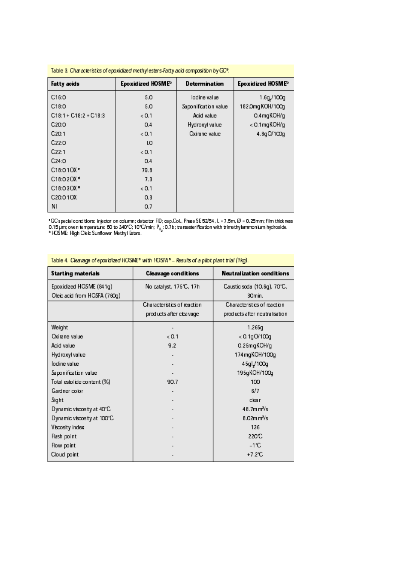| Table 3. Characteristics of epoxidized methyl esters-fatty acid composition by GC <sup>®</sup> . |                   |                      |                   |  |  |  |
|--------------------------------------------------------------------------------------------------|-------------------|----------------------|-------------------|--|--|--|
| <b>Fatty acids</b>                                                                               | Epoxidized HOSME® | Determination        | Epoxidized HOSME® |  |  |  |
| C16:0                                                                                            | 5.0               | lodine value         | 1.6g/100g         |  |  |  |
| C18:0                                                                                            | 5.0               | Saponification value | 182.0mg KOH/100g  |  |  |  |
| $C18:1 + C18:2 + C18:3$                                                                          | < 0.1             | Acid value           | 0.4mgKOH/g        |  |  |  |
| C <sub>20</sub> :0                                                                               | 0.4               | Hydroxyl value       | < 0.1 mg KOH/g    |  |  |  |
| C2O:1                                                                                            | < 0.1             | Oxirane value        | 4.8gO/100g        |  |  |  |
| C22:0                                                                                            | I.O               |                      |                   |  |  |  |
| C22:1                                                                                            | < 0.1             |                      |                   |  |  |  |
| C24:0                                                                                            | 0.4               |                      |                   |  |  |  |
| C18:010XE                                                                                        | 79.8              |                      |                   |  |  |  |
| C18:020X <sup>d</sup>                                                                            | 7.3               |                      |                   |  |  |  |
| C18:030X =                                                                                       | < 0.1             |                      |                   |  |  |  |
| C20:010X                                                                                         | 0.3               |                      |                   |  |  |  |
| ΝI                                                                                               | 0.7               |                      |                   |  |  |  |

"GC special conditions: injector on column; detector FID; cap.Col., Phase SE 52/54, L = 7.5m, Ø = 0.25mm; film thick nass<br>0.15µm; oven temperature: 60 to 340°C; 10°C/min; P<sub>N2</sub>: 0.7b; transesterification with trimethylamm

| <b>Starting materials</b>                               | <b>Cleavage conditions</b>                              | Neutralization conditions                                    |
|---------------------------------------------------------|---------------------------------------------------------|--------------------------------------------------------------|
| Epoxidized HOSME (841g)<br>Oleic acid from HOSFA (760g) | No catalyst, 175°C, 17h                                 | Caustic soda (10.6g), 70°C,<br>30min.                        |
|                                                         | Characteristics of reaction<br>prod ucts after cleavage | Characteristics of reaction<br>products after neutralisation |
| Weight                                                  |                                                         | 1,265g                                                       |
| Oxirane value                                           | < 0.1                                                   | $< 0.1$ g $O/100$ g                                          |
| Acid value                                              | 9.2                                                     | 0.25mgKOH/g                                                  |
| Hydroxyl value                                          |                                                         | 174mgKOH/100g                                                |
| lodine value                                            |                                                         | 45gl/100g                                                    |
| Saponification value                                    |                                                         | 195gKOH/100g                                                 |
| Total estolide content (%)                              | 90.7                                                    | 100                                                          |
| Gardner color                                           |                                                         | 6/7                                                          |
| Sight                                                   |                                                         | clear                                                        |
| Dynamic viscosity at 40°C                               |                                                         | 48.7m m <sup>2</sup> /s                                      |
| Dynamic viscosity at 100°C                              |                                                         | 8.02m m <sup>2</sup> /s                                      |
| Viscosity index                                         |                                                         | 136                                                          |
| Flash point                                             |                                                         | 220°C                                                        |
| Flow point                                              |                                                         | -1'C                                                         |
| Cloud point                                             |                                                         | $+7.2^{\circ}C$                                              |
|                                                         |                                                         |                                                              |

Table 4. Cleavage of epoxidized HOSME<sup>®</sup> with HOSFA<sup>b</sup> - Results of a pilot plant trial (1kg).